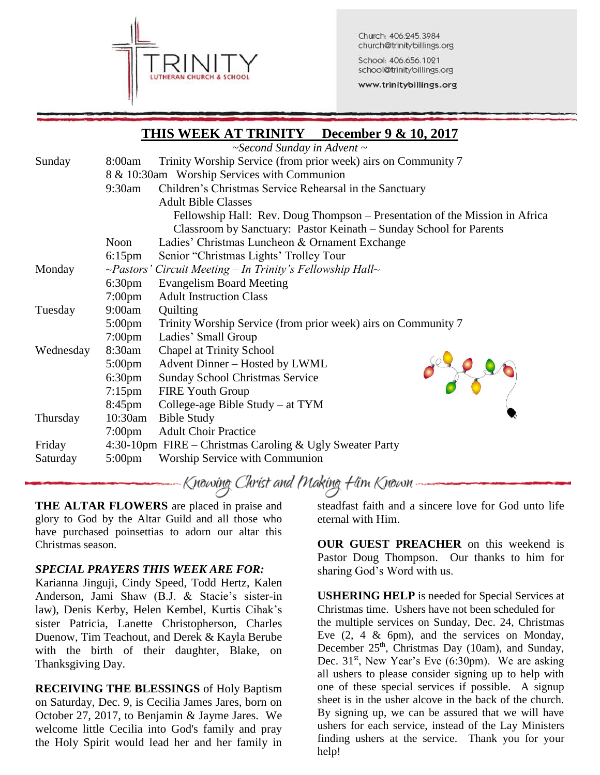

Church: 406.245.3984 church@trinitybillings.org

School: 406.656.1021 school@trinitybillings.org

www.trinitybillings.org

|           |                                                          | THIS WEEK AT TRINITY December 9 & 10, 2017                                  |  |  |  |
|-----------|----------------------------------------------------------|-----------------------------------------------------------------------------|--|--|--|
|           |                                                          | $\sim$ Second Sunday in Advent $\sim$                                       |  |  |  |
| Sunday    | 8:00am                                                   | Trinity Worship Service (from prior week) airs on Community 7               |  |  |  |
|           | 8 & 10:30am Worship Services with Communion              |                                                                             |  |  |  |
|           | $9:30$ am                                                | Children's Christmas Service Rehearsal in the Sanctuary                     |  |  |  |
|           |                                                          | <b>Adult Bible Classes</b>                                                  |  |  |  |
|           |                                                          | Fellowship Hall: Rev. Doug Thompson – Presentation of the Mission in Africa |  |  |  |
|           |                                                          | Classroom by Sanctuary: Pastor Keinath – Sunday School for Parents          |  |  |  |
|           | Noon                                                     | Ladies' Christmas Luncheon & Ornament Exchange                              |  |  |  |
|           | $6:15$ pm                                                | Senior "Christmas Lights' Trolley Tour                                      |  |  |  |
| Monday    |                                                          | $\sim$ Pastors' Circuit Meeting – In Trinity's Fellowship Hall $\sim$       |  |  |  |
|           | $6:30 \text{pm}$                                         | <b>Evangelism Board Meeting</b>                                             |  |  |  |
|           | $7:00 \text{pm}$                                         | <b>Adult Instruction Class</b>                                              |  |  |  |
| Tuesday   | 9:00am                                                   | Quilting                                                                    |  |  |  |
|           | $5:00 \text{pm}$                                         | Trinity Worship Service (from prior week) airs on Community 7               |  |  |  |
|           | $7:00 \text{pm}$                                         | Ladies' Small Group                                                         |  |  |  |
| Wednesday | 8:30am                                                   | <b>Chapel at Trinity School</b>                                             |  |  |  |
|           | $5:00 \text{pm}$                                         | Advent Dinner - Hosted by LWML                                              |  |  |  |
|           | 6:30 <sub>pm</sub>                                       | Sunday School Christmas Service                                             |  |  |  |
|           | $7:15 \text{pm}$                                         | <b>FIRE Youth Group</b>                                                     |  |  |  |
|           | $8:45$ pm                                                | College-age Bible Study – at TYM                                            |  |  |  |
| Thursday  | $10:30$ am                                               | <b>Bible Study</b>                                                          |  |  |  |
|           | $7:00 \text{pm}$                                         | <b>Adult Choir Practice</b>                                                 |  |  |  |
| Friday    | 4:30-10pm FIRE – Christmas Caroling & Ugly Sweater Party |                                                                             |  |  |  |
| Saturday  | $5:00 \text{pm}$                                         | Worship Service with Communion                                              |  |  |  |

Knowing Christ and Making Him Known

**THE ALTAR FLOWERS** are placed in praise and glory to God by the Altar Guild and all those who have purchased poinsettias to adorn our altar this Christmas season.

## *SPECIAL PRAYERS THIS WEEK ARE FOR:*

Karianna Jinguji, Cindy Speed, Todd Hertz, Kalen Anderson, Jami Shaw (B.J. & Stacie's sister-in law), Denis Kerby, Helen Kembel, Kurtis Cihak's sister Patricia, Lanette Christopherson, Charles Duenow, Tim Teachout, and Derek & Kayla Berube with the birth of their daughter, Blake, on Thanksgiving Day.

**RECEIVING THE BLESSINGS** of Holy Baptism on Saturday, Dec. 9, is Cecilia James Jares, born on October 27, 2017, to Benjamin & Jayme Jares. We welcome little Cecilia into God's family and pray the Holy Spirit would lead her and her family in

steadfast faith and a sincere love for God unto life eternal with Him.

**OUR GUEST PREACHER** on this weekend is Pastor Doug Thompson. Our thanks to him for sharing God's Word with us.

**USHERING HELP** is needed for Special Services at Christmas time. Ushers have not been scheduled for the multiple services on Sunday, Dec. 24, Christmas Eve (2, 4 & 6pm), and the services on Monday, December  $25<sup>th</sup>$ , Christmas Day (10am), and Sunday, Dec.  $31<sup>st</sup>$ , New Year's Eve (6:30pm). We are asking all ushers to please consider signing up to help with one of these special services if possible. A signup sheet is in the usher alcove in the back of the church. By signing up, we can be assured that we will have ushers for each service, instead of the Lay Ministers finding ushers at the service. Thank you for your help!